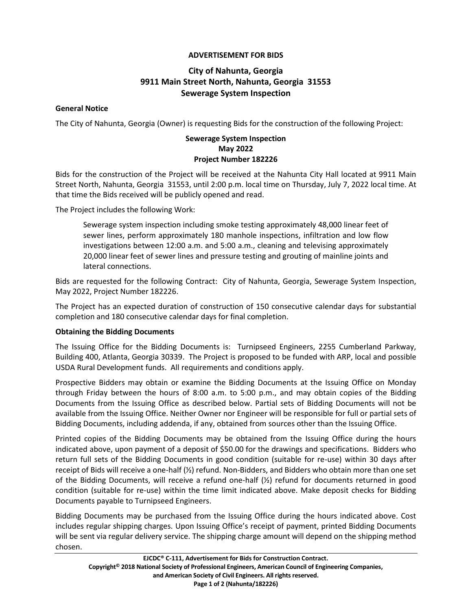# **ADVERTISEMENT FOR BIDS**

# **City of Nahunta, Georgia 9911 Main Street North, Nahunta, Georgia 31553 Sewerage System Inspection**

## **General Notice**

The City of Nahunta, Georgia (Owner) is requesting Bids for the construction of the following Project:

# **Sewerage System Inspection May 2022 Project Number 182226**

Bids for the construction of the Project will be received at the Nahunta City Hall located at 9911 Main Street North, Nahunta, Georgia 31553, until 2:00 p.m. local time on Thursday, July 7, 2022 local time. At that time the Bids received will be publicly opened and read.

The Project includes the following Work:

Sewerage system inspection including smoke testing approximately 48,000 linear feet of sewer lines, perform approximately 180 manhole inspections, infiltration and low flow investigations between 12:00 a.m. and 5:00 a.m., cleaning and televising approximately 20,000 linear feet of sewer lines and pressure testing and grouting of mainline joints and lateral connections.

Bids are requested for the following Contract: City of Nahunta, Georgia, Sewerage System Inspection, May 2022, Project Number 182226.

The Project has an expected duration of construction of 150 consecutive calendar days for substantial completion and 180 consecutive calendar days for final completion.

#### **Obtaining the Bidding Documents**

The Issuing Office for the Bidding Documents is: Turnipseed Engineers, 2255 Cumberland Parkway, Building 400, Atlanta, Georgia 30339. The Project is proposed to be funded with ARP, local and possible USDA Rural Development funds. All requirements and conditions apply.

Prospective Bidders may obtain or examine the Bidding Documents at the Issuing Office on Monday through Friday between the hours of 8:00 a.m. to 5:00 p.m., and may obtain copies of the Bidding Documents from the Issuing Office as described below. Partial sets of Bidding Documents will not be available from the Issuing Office. Neither Owner nor Engineer will be responsible for full or partial sets of Bidding Documents, including addenda, if any, obtained from sources other than the Issuing Office.

Printed copies of the Bidding Documents may be obtained from the Issuing Office during the hours indicated above, upon payment of a deposit of \$50.00 for the drawings and specifications. Bidders who return full sets of the Bidding Documents in good condition (suitable for re-use) within 30 days after receipt of Bids will receive a one-half (½) refund. Non-Bidders, and Bidders who obtain more than one set of the Bidding Documents, will receive a refund one-half (½) refund for documents returned in good condition (suitable for re-use) within the time limit indicated above. Make deposit checks for Bidding Documents payable to Turnipseed Engineers.

Bidding Documents may be purchased from the Issuing Office during the hours indicated above. Cost includes regular shipping charges. Upon Issuing Office's receipt of payment, printed Bidding Documents will be sent via regular delivery service. The shipping charge amount will depend on the shipping method chosen.